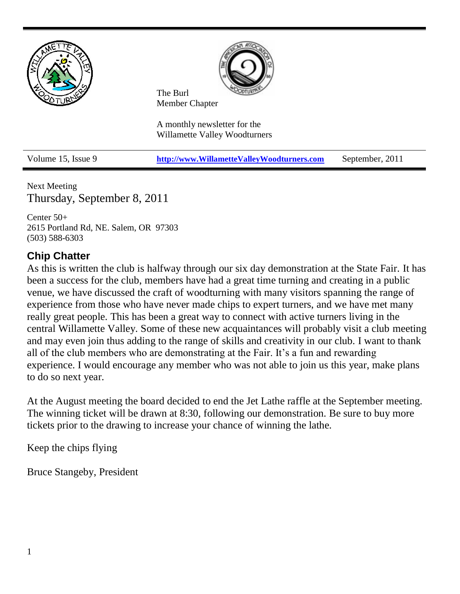

Next Meeting Thursday, September 8, 2011

Center 50+ 2615 Portland Rd, NE. Salem, OR 97303 (503) 588-6303

## **Chip Chatter**

As this is written the club is halfway through our six day demonstration at the State Fair. It has been a success for the club, members have had a great time turning and creating in a public venue, we have discussed the craft of woodturning with many visitors spanning the range of experience from those who have never made chips to expert turners, and we have met many really great people. This has been a great way to connect with active turners living in the central Willamette Valley. Some of these new acquaintances will probably visit a club meeting and may even join thus adding to the range of skills and creativity in our club. I want to thank all of the club members who are demonstrating at the Fair. It's a fun and rewarding experience. I would encourage any member who was not able to join us this year, make plans to do so next year.

At the August meeting the board decided to end the Jet Lathe raffle at the September meeting. The winning ticket will be drawn at 8:30, following our demonstration. Be sure to buy more tickets prior to the drawing to increase your chance of winning the lathe.

Keep the chips flying

Bruce Stangeby, President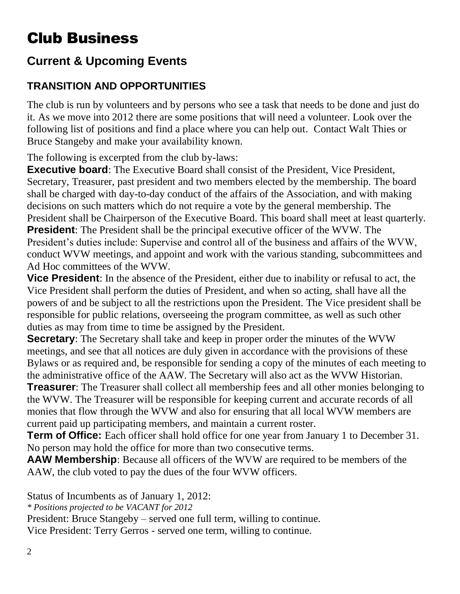# Club Business

## **Current & Upcoming Events**

## **TRANSITION AND OPPORTUNITIES**

The club is run by volunteers and by persons who see a task that needs to be done and just do it. As we move into 2012 there are some positions that will need a volunteer. Look over the following list of positions and find a place where you can help out. Contact Walt Thies or Bruce Stangeby and make your availability known.

The following is excerpted from the club by-laws:

**Executive board:** The Executive Board shall consist of the President, Vice President, Secretary, Treasurer, past president and two members elected by the membership. The board shall be charged with day-to-day conduct of the affairs of the Association, and with making decisions on such matters which do not require a vote by the general membership. The President shall be Chairperson of the Executive Board. This board shall meet at least quarterly. **President**: The President shall be the principal executive officer of the WVW. The President's duties include: Supervise and control all of the business and affairs of the WVW, conduct WVW meetings, and appoint and work with the various standing, subcommittees and Ad Hoc committees of the WVW.

**Vice President**: In the absence of the President, either due to inability or refusal to act, the Vice President shall perform the duties of President, and when so acting, shall have all the powers of and be subject to all the restrictions upon the President. The Vice president shall be responsible for public relations, overseeing the program committee, as well as such other duties as may from time to time be assigned by the President.

**Secretary**: The Secretary shall take and keep in proper order the minutes of the WVW meetings, and see that all notices are duly given in accordance with the provisions of these Bylaws or as required and, be responsible for sending a copy of the minutes of each meeting to the administrative office of the AAW. The Secretary will also act as the WVW Historian.

**Treasurer**: The Treasurer shall collect all membership fees and all other monies belonging to the WVW. The Treasurer will be responsible for keeping current and accurate records of all monies that flow through the WVW and also for ensuring that all local WVW members are current paid up participating members, and maintain a current roster.

**Term of Office:** Each officer shall hold office for one year from January 1 to December 31. No person may hold the office for more than two consecutive terms.

**AAW Membership**: Because all officers of the WVW are required to be members of the AAW, the club voted to pay the dues of the four WVW officers.

Status of Incumbents as of January 1, 2012:

*\* Positions projected to be VACANT for 2012*

President: Bruce Stangeby – served one full term, willing to continue.

Vice President: Terry Gerros - served one term, willing to continue.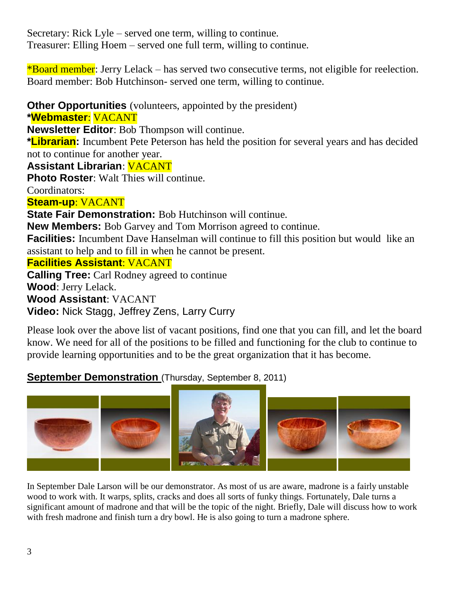Secretary: Rick Lyle – served one term, willing to continue. Treasurer: Elling Hoem – served one full term, willing to continue.

\*Board member: Jerry Lelack – has served two consecutive terms, not eligible for reelection. Board member: Bob Hutchinson- served one term, willing to continue.

**Other Opportunities** (volunteers, appointed by the president)

**\*Webmaster**: VACANT **Newsletter Editor**: Bob Thompson will continue.

**\*Librarian:** Incumbent Pete Peterson has held the position for several years and has decided not to continue for another year.

**Assistant Librarian**: VACANT

**Photo Roster:** Walt Thies will continue.

Coordinators:

### **Steam-up**: VACANT

**State Fair Demonstration:** Bob Hutchinson will continue.

**New Members:** Bob Garvey and Tom Morrison agreed to continue.

**Facilities:** Incumbent Dave Hanselman will continue to fill this position but would like an assistant to help and to fill in when he cannot be present.

### **Facilities Assistant**: VACANT

**Calling Tree:** Carl Rodney agreed to continue **Wood**: Jerry Lelack. **Wood Assistant**: VACANT **Video:** Nick Stagg, Jeffrey Zens, Larry Curry

Please look over the above list of vacant positions, find one that you can fill, and let the board know. We need for all of the positions to be filled and functioning for the club to continue to provide learning opportunities and to be the great organization that it has become.

## **September Demonstration** (Thursday, September 8, 2011)



In September Dale Larson will be our demonstrator. As most of us are aware, madrone is a fairly unstable wood to work with. It warps, splits, cracks and does all sorts of funky things. Fortunately, Dale turns a significant amount of madrone and that will be the topic of the night. Briefly, Dale will discuss how to work with fresh madrone and finish turn a dry bowl. He is also going to turn a madrone sphere.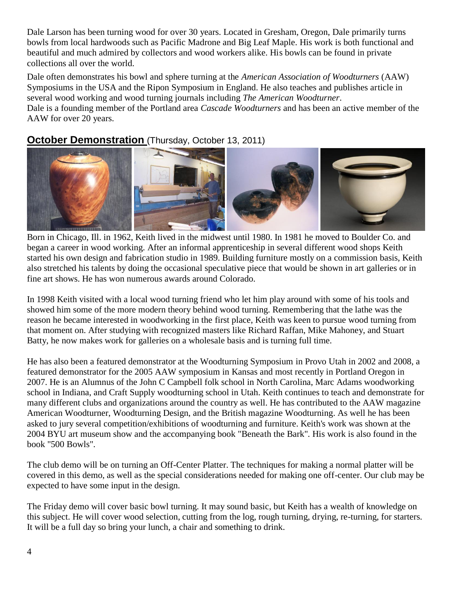Dale Larson has been turning wood for over 30 years. Located in Gresham, Oregon, Dale primarily turns bowls from local hardwoods such as Pacific Madrone and [Big Leaf Maple.](http://www.finewoodartists.com/woodtypes/maple.htm) His work is both functional and beautiful and much admired by collectors and wood workers alike. His bowls can be found in private collections all over the world.

Dale often demonstrates his bowl and sphere turning at the *American Association of Woodturners* (AAW) Symposiums in the USA and the Ripon Symposium in England. He also teaches and publishes article in several wood working and wood turning journals including *The American Woodturner*. Dale is a founding member of the Portland area *Cascade Woodturners* and has been an active member of the AAW for over 20 years.

## **October Demonstration** (Thursday, October 13, 2011)



Born in Chicago, Ill. in 1962, Keith lived in the midwest until 1980. In 1981 he moved to Boulder Co. and began a career in wood working. After an informal apprenticeship in several different wood shops Keith started his own design and fabrication studio in 1989. Building furniture mostly on a commission basis, Keith also stretched his talents by doing the occasional speculative piece that would be shown in art galleries or in fine art shows. He has won numerous awards around Colorado.

In 1998 Keith visited with a local wood turning friend who let him play around with some of his tools and showed him some of the more modern theory behind wood turning. Remembering that the lathe was the reason he became interested in woodworking in the first place, Keith was keen to pursue wood turning from that moment on. After studying with recognized masters like Richard Raffan, Mike Mahoney, and Stuart Batty, he now makes work for galleries on a wholesale basis and is turning full time.

He has also been a featured demonstrator at the Woodturning Symposium in Provo Utah in 2002 and 2008, a featured demonstrator for the 2005 AAW symposium in Kansas and most recently in Portland Oregon in 2007. He is an Alumnus of the John C Campbell folk school in North Carolina, Marc Adams woodworking school in Indiana, and Craft Supply woodturning school in Utah. Keith continues to teach and demonstrate for many different clubs and organizations around the country as well. He has contributed to the AAW magazine American Woodturner, Woodturning Design, and the British magazine Woodturning. As well he has been asked to jury several competition/exhibitions of woodturning and furniture. Keith's work was shown at the 2004 BYU art museum show and the accompanying book "Beneath the Bark". His work is also found in the book "500 Bowls".

The club demo will be on turning an Off-Center Platter. The techniques for making a normal platter will be covered in this demo, as well as the special considerations needed for making one off-center. Our club may be expected to have some input in the design.

The Friday demo will cover basic bowl turning. It may sound basic, but Keith has a wealth of knowledge on this subject. He will cover wood selection, cutting from the log, rough turning, drying, re-turning, for starters. It will be a full day so bring your lunch, a chair and something to drink.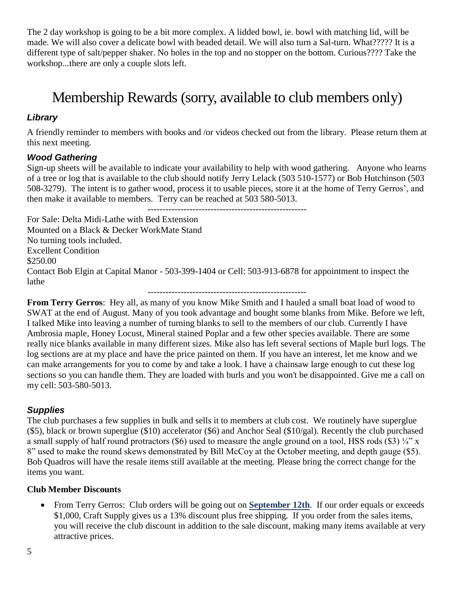The 2 day workshop is going to be a bit more complex. A lidded bowl, ie. bowl with matching lid, will be made. We will also cover a delicate bowl with beaded detail. We will also turn a Sal-turn. What????? It is a different type of salt/pepper shaker. No holes in the top and no stopper on the bottom. Curious???? Take the workshop...there are only a couple slots left.

## Membership Rewards (sorry, available to club members only)

#### *Library*

A friendly reminder to members with books and /or videos checked out from the library. Please return them at this next meeting.

#### *Wood Gathering*

Sign-up sheets will be available to indicate your availability to help with wood gathering. Anyone who learns of a tree or log that is available to the club should notify Jerry Lelack (503 510-1577) or Bob Hutchinson (503 508-3279). The intent is to gather wood, process it to usable pieces, store it at the home of Terry Gerros', and then make it available to members. Terry can be reached at 503 580-5013.

-----------------------------------------------------

For Sale: Delta Midi-Lathe with Bed Extension Mounted on a Black & Decker WorkMate Stand No turning tools included. Excellent Condition \$250.00 Contact Bob Elgin at Capital Manor - 503-399-1404 or Cell: 503-913-6878 for appointment to inspect the lathe -----------------------------------------------------

**From Terry Gerros**: Hey all, as many of you know Mike Smith and I hauled a small boat load of wood to SWAT at the end of August. Many of you took advantage and bought some blanks from Mike. Before we left, I talked Mike into leaving a number of turning blanks to sell to the members of our club. Currently I have Ambrosia maple, Honey Locust, Mineral stained Poplar and a few other species available. There are some really nice blanks available in many different sizes. Mike also has left several sections of Maple burl logs. The log sections are at my place and have the price painted on them. If you have an interest, let me know and we can make arrangements for you to come by and take a look. I have a chainsaw large enough to cut these log sections so you can handle them. They are loaded with burls and you won't be disappointed. Give me a call on my cell: 503-580-5013.

#### *Supplies*

The club purchases a few supplies in bulk and sells it to members at club cost. We routinely have superglue (\$5), black or brown superglue (\$10) accelerator (\$6) and Anchor Seal (\$10/gal). Recently the club purchased a small supply of half round protractors (\$6) used to measure the angle ground on a tool, HSS rods (\$3)  $\frac{1}{4}$ " x 8" used to make the round skews demonstrated by Bill McCoy at the October meeting, and depth gauge (\$5). Bob Quadros will have the resale items still available at the meeting. Please bring the correct change for the items you want.

#### **Club Member Discounts**

 From Terry Gerros: Club orders will be going out on **September 12th**. If our order equals or exceeds \$1,000, Craft Supply gives us a 13% discount plus free shipping. If you order from the sales items, you will receive the club discount in addition to the sale discount, making many items available at very attractive prices.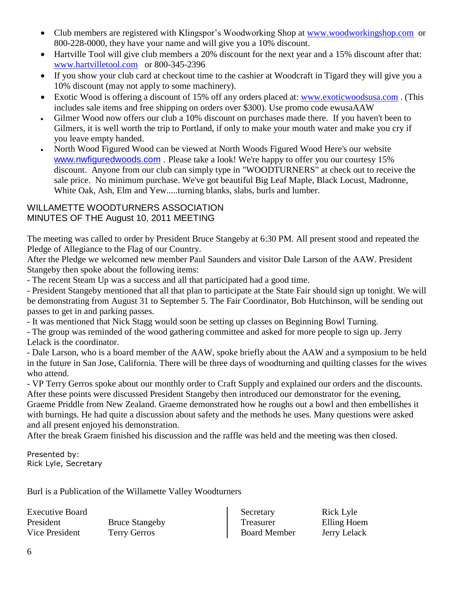- Club members are registered with Klingspor's Woodworking Shop at [www.woodworkingshop.com](http://www.woodworkingshop.com/) or 800-228-0000, they have your name and will give you a 10% discount.
- Hartville Tool will give club members a 20% discount for the next year and a 15% discount after that: [www.hartvilletool.com](http://www.hartvilletool.com/) or 800-345-2396
- If you show your club card at checkout time to the cashier at Woodcraft in Tigard they will give you a 10% discount (may not apply to some machinery).
- Exotic Wood is offering a discount of 15% off any orders placed at: [www.exoticwoodsusa.com](http://www.exoticwoodsusa.com/) . (This includes sale items and free shipping on orders over \$300). Use promo code ewusaAAW
- Gilmer Wood now offers our club a 10% discount on purchases made there. If you haven't been to Gilmers, it is well worth the trip to Portland, if only to make your mouth water and make you cry if you leave empty handed.
- North Wood Figured Wood can be viewed at North Woods Figured Wood Here's our website [www.nwfiguredwoods.com](http://www.nwfiguredwoods.com/) . Please take a look! We're happy to offer you our courtesy 15% discount. Anyone from our club can simply type in "WOODTURNERS" at check out to receive the sale price. No minimum purchase. We've got beautiful Big Leaf Maple, Black Locust, Madronne, White Oak, Ash, Elm and Yew.....turning blanks, slabs, burls and lumber.

#### WILLAMETTE WOODTURNERS ASSOCIATION MINUTES OF THE August 10, 2011 MEETING

The meeting was called to order by President Bruce Stangeby at 6:30 PM. All present stood and repeated the Pledge of Allegiance to the Flag of our Country.

After the Pledge we welcomed new member Paul Saunders and visitor Dale Larson of the AAW. President Stangeby then spoke about the following items:

- The recent Steam Up was a success and all that participated had a good time.

- President Stangeby mentioned that all that plan to participate at the State Fair should sign up tonight. We will be demonstrating from August 31 to September 5. The Fair Coordinator, Bob Hutchinson, will be sending out passes to get in and parking passes.

- It was mentioned that Nick Stagg would soon be setting up classes on Beginning Bowl Turning.

- The group was reminded of the wood gathering committee and asked for more people to sign up. Jerry Lelack is the coordinator.

- Dale Larson, who is a board member of the AAW, spoke briefly about the AAW and a symposium to be held in the future in San Jose, California. There will be three days of woodturning and quilting classes for the wives who attend.

- VP Terry Gerros spoke about our monthly order to Craft Supply and explained our orders and the discounts. After these points were discussed President Stangeby then introduced our demonstrator for the evening, Graeme Priddle from New Zealand. Graeme demonstrated how he roughs out a bowl and then embellishes it with burnings. He had quite a discussion about safety and the methods he uses. Many questions were asked and all present enjoyed his demonstration.

After the break Graem finished his discussion and the raffle was held and the meeting was then closed.

Presented by: Rick Lyle, Secretary

Burl is a Publication of the Willamette Valley Woodturners

Executive Board President Bruce Stangeby Vice President Terry Gerros

Secretary Rick Lyle Treasurer Elling Hoem Board Member Jerry Lelack